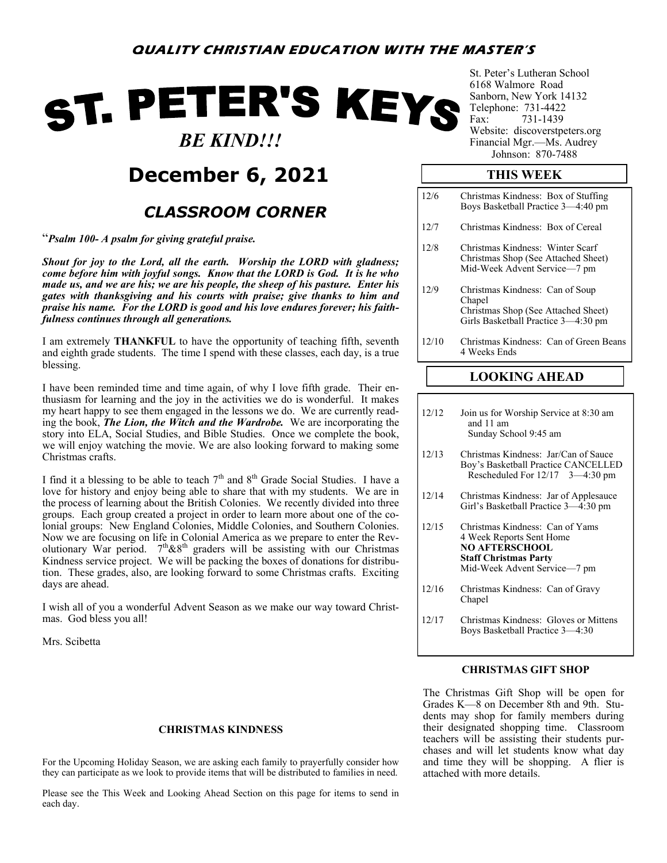# ST. PETER'S KEYS

 *BE KIND!!!*

# **December 6, 2021**

## *CLASSROOM CORNER*

"*Psalm 100- A psalm for giving grateful praise.*

*Shout for joy to the Lord, all the earth. Worship the LORD with gladness; come before him with joyful songs. Know that the LORD is God. It is he who made us, and we are his; we are his people, the sheep of his pasture. Enter his gates with thanksgiving and his courts with praise; give thanks to him and praise his name. For the LORD is good and his love endures forever; his faithfulness continues through all generations.*

I am extremely **THANKFUL** to have the opportunity of teaching fifth, seventh and eighth grade students. The time I spend with these classes, each day, is a true blessing.

I have been reminded time and time again, of why I love fifth grade. Their enthusiasm for learning and the joy in the activities we do is wonderful. It makes my heart happy to see them engaged in the lessons we do. We are currently reading the book, *The Lion, the Witch and the Wardrobe.* We are incorporating the story into ELA, Social Studies, and Bible Studies. Once we complete the book, we will enjoy watching the movie. We are also looking forward to making some Christmas crafts.

I find it a blessing to be able to teach  $7<sup>th</sup>$  and  $8<sup>th</sup>$  Grade Social Studies. I have a love for history and enjoy being able to share that with my students. We are in the process of learning about the British Colonies. We recently divided into three groups. Each group created a project in order to learn more about one of the colonial groups: New England Colonies, Middle Colonies, and Southern Colonies. Now we are focusing on life in Colonial America as we prepare to enter the Revolutionary War period.  $7^{th}$ &8<sup>th</sup> graders will be assisting with our Christmas Kindness service project. We will be packing the boxes of donations for distribution. These grades, also, are looking forward to some Christmas crafts. Exciting days are ahead.

I wish all of you a wonderful Advent Season as we make our way toward Christmas. God bless you all!

Mrs. Scibetta

#### **CHRISTMAS KINDNESS**

For the Upcoming Holiday Season, we are asking each family to prayerfully consider how they can participate as we look to provide items that will be distributed to families in need.

Please see the This Week and Looking Ahead Section on this page for items to send in each day.

St. Peter's Lutheran School 6168 Walmore Road Sanborn, New York 14132 Telephone: 731-4422 Fax: 731-1439 Website: discoverstpeters.org Financial Mgr.—Ms. Audrey Johnson: 870-7488

#### **THIS WEEK**

| 12/6  | Christmas Kindness: Box of Stuffing<br>Boys Basketball Practice 3-4:40 pm                                               |
|-------|-------------------------------------------------------------------------------------------------------------------------|
| 12/7  | Christmas Kindness: Box of Cereal                                                                                       |
| 12/8  | Christmas Kindness: Winter Scarf<br>Christmas Shop (See Attached Sheet)<br>Mid-Week Advent Service—7 pm                 |
| 12/9  | Christmas Kindness: Can of Soup<br>Chapel<br>Christmas Shop (See Attached Sheet)<br>Girls Basketball Practice 3-4:30 pm |
| 12/10 | Christmas Kindness: Can of Green Beans<br>4 Weeks Ends                                                                  |

### **LOOKING AHEAD**

- 12/12 Join us for Worship Service at 8:30 am and 11 am Sunday School 9:45 am
- 12/13 Christmas Kindness: Jar/Can of Sauce Boy's Basketball Practice CANCELLED Rescheduled For 12/17 3—4:30 pm
- 12/14 Christmas Kindness: Jar of Applesauce Girl's Basketball Practice 3—4:30 pm
- 12/15 Christmas Kindness: Can of Yams 4 Week Reports Sent Home **NO AFTERSCHOOL Staff Christmas Party** Mid-Week Advent Service—7 pm
- 12/16 Christmas Kindness: Can of Gravy Chapel
- 12/17 Christmas Kindness: Gloves or Mittens Boys Basketball Practice 3—4:30

#### **CHRISTMAS GIFT SHOP**

The Christmas Gift Shop will be open for Grades K—8 on December 8th and 9th. Students may shop for family members during their designated shopping time. Classroom teachers will be assisting their students purchases and will let students know what day and time they will be shopping. A flier is attached with more details.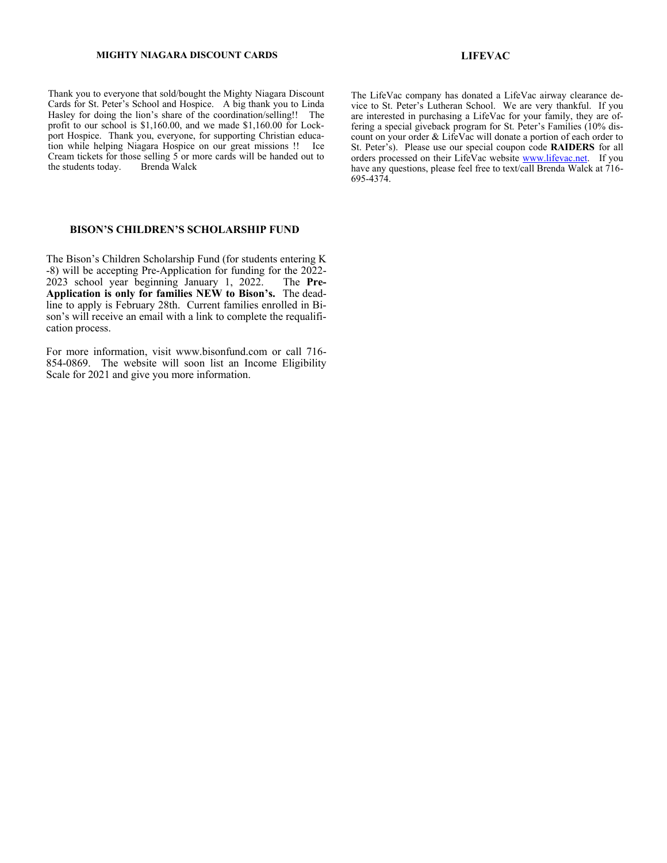#### **MIGHTY NIAGARA DISCOUNT CARDS LIFEVAC**

Thank you to everyone that sold/bought the Mighty Niagara Discount Cards for St. Peter's School and Hospice. A big thank you to Linda Hasley for doing the lion's share of the coordination/selling!! The profit to our school is \$1,160.00, and we made \$1,160.00 for Lockport Hospice. Thank you, everyone, for supporting Christian education while helping Niagara Hospice on our great missions !! Ice Cream tickets for those selling  $5$  or more cards will be handed out to the students today. Brenda Walck the students today.

#### **BISON'S CHILDREN'S SCHOLARSHIP FUND**

The Bison's Children Scholarship Fund (for students entering K -8) will be accepting Pre-Application for funding for the 2022-<br>2023 school year beginning January 1, 2022. The Pre-2023 school year beginning January 1, 2022. **Application is only for families NEW to Bison's.** The deadline to apply is February 28th. Current families enrolled in Bison's will receive an email with a link to complete the requalification process.

For more information, visit www.bisonfund.com or call 716- 854-0869. The website will soon list an Income Eligibility Scale for 2021 and give you more information.

The LifeVac company has donated a LifeVac airway clearance device to St. Peter's Lutheran School. We are very thankful. If you are interested in purchasing a LifeVac for your family, they are offering a special giveback program for St. Peter's Families (10% discount on your order & LifeVac will donate a portion of each order to St. Peter's). Please use our special coupon code **RAIDERS** for all orders processed on their LifeVac website [www.lifevac.net.](http://www.lifevac.net) If you have any questions, please feel free to text/call Brenda Walck at 716- 695-4374.